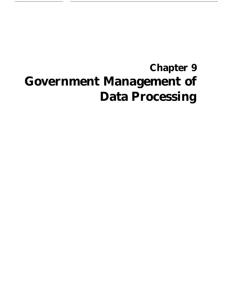# **Chapter 9 Government Management of Data Processing**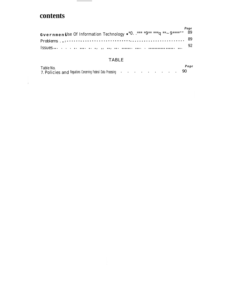## contents

 $\mathcal{L}(\mathcal{A})$  and  $\mathcal{L}(\mathcal{A})$ 

|                                                                                                  | Page |  |
|--------------------------------------------------------------------------------------------------|------|--|
| <code>Gvernmen</code> Use Of Information Technology $\bullet^*0.$ .*** *9** ***q **~ 9******* 89 |      |  |
|                                                                                                  |      |  |
|                                                                                                  | 92   |  |

#### **TABLE**

| Table No.                                                     |  |  |  |  | Page |
|---------------------------------------------------------------|--|--|--|--|------|
| 7. Policies and Reguations Concerning Federal Data Processing |  |  |  |  | - 90 |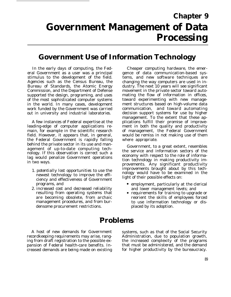# **Chapter 9 Government Management of Data Processing**

### **Government Use of Information Technology**

In the early days of computing, the Federal Government as a user was a principal stimulus to the development of the field. Agencies such as the Census Bureau, the Bureau of Standards, the Atomic Energy Commission, and the Department of Defense supported the design, programing, and uses of the most sophisticated computer systems in the world. In many cases, development work funded by the Government was carried out in university and industrial laboratories.

A few instances of Federal expertise at the leading-edge of computer applications remain, for example in the scientific research field. However, it appears that, in general, the Federal Government is rapidly falling behind the private sector in its use and management of up-to-date computing technology. If this observation is correct such a lag would penalize Government operations in two ways.

- 1. *potentially lost opportunities* to use the newest technology to improve the efficiency and effectiveness of Government programs, and
- 2. *increased cost and decreased reliability* resulting from operating systems that are becoming obsolete, from archaic management procedures, and from burdensome procurement restrictions.

Cheaper computing hardware, the emergence of data communication-based systems, and new software techniques are changing the way computers are used in industry. The next 10 years will see significant movement in the private sector toward automating the flow of information in offices, toward experimenting with new management structures based on high-volume data communication, and toward automating decision support systems for use by higher management. To the extent that these applications fulfill their promise of improvement in both the quality and productivity of management, the Federal Government would be remiss in not making use of them where appropriate.

Government, to a great extent, resembles the service and information sectors of the economy with respect to the role of information technology in making productivity improvements. Any significant productivity improvements brought about by this technology would have to be examined in the light of their possible effects on:

- employment, particularly at the clerical and lower management levels; and
- requirements for training to upgrade or reorient the skills of employees forced to use information technology or displaced by its adoption.

# . **Problems**

recordkeeping requirements may arise, rang- Administration, due to population growth, ing from draft registration to the possible ex- the increased complexity of the programs pansion of Federal health-care benefits. In- that must be administered, and the demand creased demands are being made on existing for higher productivity by the bureaucracy.

A host of new demands for Government systems, such as that of the Social Security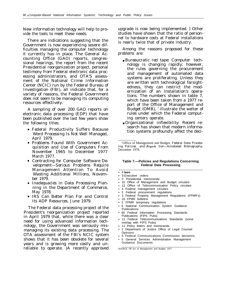New information technology will help to provide the tools to meet these needs.

There are indications suggesting that the Government is now experiencing severe difficulties managing the computer technology it currently has in place. The General Accounting Office (GAO) reports, congressional hearings, the report from the recent Presidential reorganization project, personal testimony from Federal electronic data processing administrators, and OTA'S assessment of the National Crime Information Center (NCIC) run by the Federal Bureau of Investigation (FBI), all indicate that, for a variety of reasons, the Federal Government does not seem to be managing its computing resources effectively.

A sampling of over 200 GAO reports on electronic data processing (EDP) that have been published over the last few years show the following titles:

- *Federal Productivity Suffers Because Word Processing Is Not Well Managed,* April 1979.
- *Problems Found With Government Acquisition and Use of Computers From November 1965 to December 1977* March *1977.*
- *Contracting for Computer Software Development—Serious Problems Require Management Attention To Avoid Wasting Additional Millions,* November 1979.
- *Inadequacies in Data Processing Planning in the Department of Commerce,* May 1978.
- *IRS Can Better Plan For and Control Its ADP Resources,* June 1979.

The Federal data processing project of the President's reorganization project reported in April 1979 that, while there was a clear need for using advanced information technology, the Government was seriously mismanaging its existing data processing. The OTA assessment of the FBI's NCIC system shows that it has been obsolete for several years and is growing more costly and unreliable to operate. (A recently approved upgrade is now being implemented. ) Other studies have shown that the ratio of personnel to hardware costs at Federal installations is nearly twice that of private industry.

Among the reasons proposed for these problems are:

- *Bureaucratic red tape:* Computer technology is changing rapidly; however, the rules governing the procurement and management of automated data systems are proliferating. Unless they are written with technological farsightedness, they can restrict the modernization of an installation's operations. The numbers shown in table 7, which have been taken from a 1977 report of the Office of Management and Budget (OMB), ' illustrate the welter of rules under which the Federal computing centers operate.
- *Organizational inflexibility:* Recent research has shown that modern information systems profoundly affect the deci-

'Office of Management and Budget, *Federal Data Processing Policies and Regula tion—Annotated Bibliography,* December 1978.

#### **Table 7.—Policies and Regulations Concerning Federal Data Processing**

- 4 **laws**
- 3 Executive orders  $\bullet$
- 3 Presidential memoranda
- 10 Office of Management and Budget circulars
- 12 Office of Telecommunication Policy circulars
- 3 Federal management circulars
- 3 Federal procurement regulations
- 3 Federal Property Management Regulations (FPMR's)
- 16 FPMR bulletins
- 2 FPMR temporary regulations
- 6 National Communication System Guidance Publications
- 60 Federal Information Processing Standards Publications (FIPS Pubs)
- 11 Federal Telecommunications Standards (some overlap with FIPS Pubs)
- 11 Policy letters and memoranda
- 2 Department of Justice Office of Legal Counsel **Opinions**
- 3 Federal Communications Commission decisions
- 5 General Services Administration Management Guidance Documents

SOURCE Off Ice of Management and Budget, 1977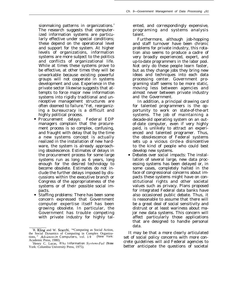sionmaking patterns in organizations.<sup>2</sup> The research suggests that computerized information systems are particularly effective under special conditions; these depend on the operational level and support for the system. At higher levels of organizations, information systems are more subject to the politics and conflicts of organizational life. While at times these systems prove to be effective, at other times they will be unworkable because existing powerful groups will not cooperate in systems development and use. Experience in the private sector likewise suggests that attempts to force major new information systems into rigidly traditional and unreceptive management structures are often doomed to failure.<sup>3</sup> Yet, reorganizing a bureaucracy is a difficult and highly political process.

- *Procurement delays:* Federal EDP managers complain that the procurement process is so complex, confusing, and fraught with delay that by the time a new systems concept is actually realized in the installation of new hardware, the system is already approaching obsolescence. Estimates of delays in the procurement process for some large systems run as long as 6 years, long enough for the desired technology to become obsolete. Estimates do not include the further delays imposed by discussions within the executive branch or Congress of the appropriateness of the systems or of their possible social impacts.
- *Staffing problems:* There has been some concern expressed that Government computer expertise itself has been growing obsolete. In particular, the Government has trouble competing with private industry for highly tal-

ented, and correspondingly expensive, programing and systems analysis talent.

Furthermore, although job-hopping and staff turnover have been chronic problems for private industry, this rotation also seems to produce *a* cadre of very broadly experienced, expert, and up-to-date programmers in the labor pool. Not only do these people learn faster, but as they change jobs they bring new ideas and techniques into each data processing center. Government programing staff seems to be more static, moving less between agencies and almost never between private industry and the Government.

In addition, a principal drawing card for talented programmers is the opportunity to work on state-of-the-art systems. The job of maintaining a decade-old operating system on an outof-date computer, even if very highly paid, is unlikely to attract an experienced and talented programer. Thus, the obsolescence of Federal systems sets up a vicious circle-a disincentive to the kind of people who could best develop new systems.

● *Debates over social impacts:* The installation of several large, new data processing systems has been delayed or, in some cases, completely halted in the face of congressional concerns about impacts these systems might have on constitutional rights and other societal values such as privacy. Plans proposed for integrated Federal data banks have also occasioned public debate. Thus, it is reasonable to assume that there will be a great deal of social sensitivity and distrust or at least wariness about major new data systems. This concern will affect particularly those applications that are designed to handle personal data.

It may be that a more clearly articulated set of social policy concerns with more concrete guidelines will aid Federal agencies to better anticipate the questions of societal

<sup>&</sup>lt;sup>2</sup>R. Kling and W. Scacchi, "\*Computing as Social Action, the Social Dynamics of Computing in Complex Organiza-<br>tions," Advances in Computers, vol. 19 (New York: tions," *Advances in Computers*, vol. 19<sup>1</sup> Academic Press, 1980).

<sup>&</sup>lt;sup>3</sup>Henry C. Lucas, *Why Information Systems Fail (New* York: Columbia University Press, 1975).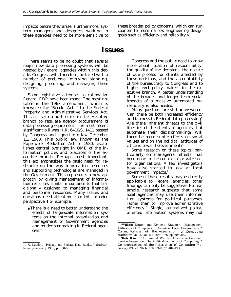tern managers and designers working in counter to more narrow engineering design these agencies need to be more sensitive to goals such as efficiency and reliability y.

impacts before they arise. Furthermore, sys- these broader policy concerns, which can run

#### **Issues**

There seems to be no doubt that several major new data processing systems will be needed by Federal agencies within this decade. Congress will, therefore, be faced with a number of problems involving planning, designing, procuring, and managing these systems.

Some legislative attempts to rationalize Federal EDP have been made. The most notable is the 1967 amendment, which is known **as** the "Brooks Act, " to the Federal Property and Administrative Services Act. This act set up authorities in the executive branch to regulate agency procurement of data processing equipment. The most recent significant bill was H.R. 6410/S. 1411 passed by Congress and signed into law December 11, 1980. This public law, known as the Paperwork Reduction Act of 1980, establishes central oversight in OMB of the information policies and practices of the executive branch. Perhaps most important, this act emphasizes the basic need for restructuring the way information resources and supporting technologies are managed in the Government. This represents a new approach by giving management of information resources similar importance to that traditionally assigned to managing financial and personnel resources. Many issues and questions need attention from this broader perspective. For example:

● There is a need to better understand the effects of large-scale information systems on the internal organization and management of Government agencies

Congress and the public need to know more about location of responsibility, the quality of the decisions, the nature of due process for clients affected by those decisions, and the accountability of the bureaucracy to Congress and to higher-level policy makers in the executive branch. A better understanding of the broader and longer term social impacts of a massive automated bureaucracy is also needed.

Many questions are still unanswered. Can there be both increased efficiency and fairness in Federal data processing? Are there inherent threats to the civil liberties of the clients of agencies that automate their decisionmaking? Will there be more subtle effects on social values and on the political attitudes of citizens toward Government?

Some research on these topics, particularly on managerial effects, has been done in the context of private sector organizations. A few investigators have also started to look at local government impacts.<sup>5</sup>

Some of these results maybe directly applicable to Federal agencies; other findings can only be suggestive. For example, research suggests that some local agencies may use their information systems for political purposes rather than to improve administrative efficiency. <sup>6</sup> Single, centralized policyoriented information systems may not

<sup>&#</sup>x27;K. Laudon, "Privacy and Federal Data Banks, " *Society, January/February 1980*, pp. 50-56.

and on decisionmaking in Federal agen-<br>and on decisionmaking in Federal agen-<br>Utilization of Computers in American Local Governments," Utilization of Computers in American Local Governments, " cies.<sup>4</sup> *Communications o f the Association of Computing Machinery,* vol. 2, No. 1, March 1978, pp. 305-309.

<sup>&#</sup>x27;Rob Kling, "Automated Welfare Client-Tracking and Service Integration: The Political Economy of Computing,"<br>Communications of the Association of Computing Machinery, vol. 21, No. 6, June 1978, pp. 484-493.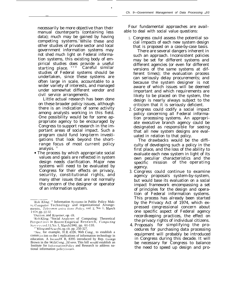necessarily be more objective than their manual counterparts (containing less) data); much may be gained by having competing systems. While these and other studies of private sector and local government information systems may not shed much light on Federal information systems, this existing body of empirical studies does provide a useful starting place. 8910 Careful similar studies of Federal systems should be undertaken, since these systems are often large in scale, accountable to a wider variety of interests, and managed under somewhat different vendor and civil service arrangements.

Little actual research has been done on these broader policy issues, although there is an indication of some activity among analysts working in this field. One possibility would be for some appropriate agency to be encouraged by Congress to support research in the important areas of social impact. Such a program could fund long-term investigations that look beyond the shortrange focus of most current policy analysis.  $11$ 

• The process by which appropriate social values and goals are reflected in system design needs clarification. Major new systems will need to be evaluated by Congress for their effects on privacy, security, constitutional rights, and many other issues that are not normally the concern of the designer or operator of an information system.

Four fundamental approaches are available to deal with social value questions:

1. Congress could assess the potential social impacts of each new system design that is proposed on a case-by-case basis.

There are several dangers inherent in such an approach. Inconsistent policies may be set for different systems and different agencies (or even for different versions of the same systems at different times); the evaluation process can seriously delay procurements; and because the system designer is not aware of which issues will be deemed important and which requirements are likely to be placed on the system, the design is nearly always subject to the criticism that it is seriously deficient.

2. Congress could codify a social impact policy concerning all Federal information processing systems. An appropriate executive branch agency could be designated as responsible for seeing that all new system designs are evaluated in relation to that policy.

The drawbacks would be the difficulty of developing such a policy in the first place, and the loss of the ability to evaluate each new system in light of its own peculiar characteristics and the specific mission of the operating agency.

- 3. Congress could continue to examine agency proposals system-by-system, but would base its evaluation on a social impact framework encompassing a set of principles for the design and operation of Federal information systems. This process has already been started by the Privacy Act of 1974, which expressed congressional concern about one specific aspect of Federal agency recordkeeping practices, the effect on the privacy rights of individual citizens.
- 4. Proposals for simplifying the procedures for purchasing data processing equipment will probably be introduced in Congress during this decade. It will be necessary for Congress to balance the need to speed up design and pro-

Rob Kling. " Information Systems in Public Policy Makin, Computer Technology and organizational Arrangements, Telecomm unica tions Policy, vol. 2, No. 1. March 1978, pp. 22-32.

<sup>\*</sup>Dutton, and Kraemer, op. cit.

<sup>&#</sup>x27;RobKling, "Social Analyses of Computing: Theoretical Perspectives in Recent Empirical Research, Computing Surveys, vol.12, No. 1, March 1980, pp. 61-110.<br>
<sup>43</sup> Kling and Scacchi, op. cit. pp. 250-327.<br>
<sup>11</sup>See, for example, H.R. 4326, 96th Cong., to establish a

comm ission on the i replications of information technology in education. A Iso see H. R, 8395 introduced by Rep. George Brown in the 96th Cong., 2d sess. This bill would establish an Institute for InformationPolicy and Research to address national information policyissues.